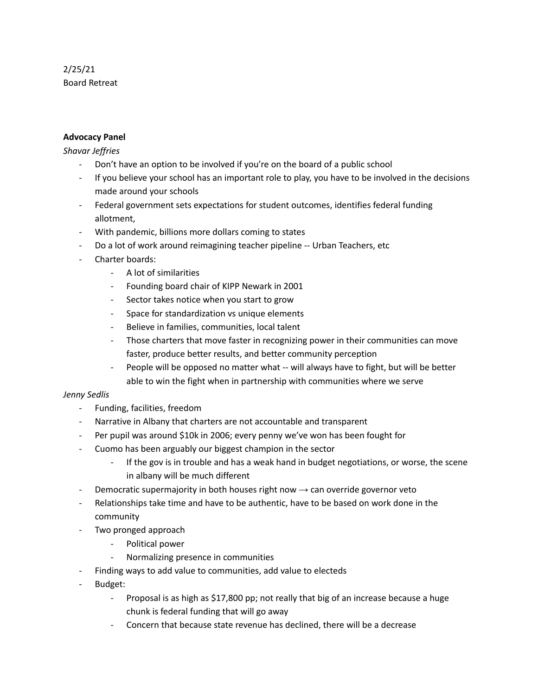# 2/25/21 Board Retreat

## **Advocacy Panel**

#### *Shavar Jeffries*

- Don't have an option to be involved if you're on the board of a public school
- If you believe your school has an important role to play, you have to be involved in the decisions made around your schools
- Federal government sets expectations for student outcomes, identifies federal funding allotment,
- With pandemic, billions more dollars coming to states
- Do a lot of work around reimagining teacher pipeline -- Urban Teachers, etc
- Charter boards:
	- A lot of similarities
	- Founding board chair of KIPP Newark in 2001
	- Sector takes notice when you start to grow
	- Space for standardization vs unique elements
	- Believe in families, communities, local talent
	- Those charters that move faster in recognizing power in their communities can move faster, produce better results, and better community perception
	- People will be opposed no matter what -- will always have to fight, but will be better able to win the fight when in partnership with communities where we serve

#### *Jenny Sedlis*

- Funding, facilities, freedom
- Narrative in Albany that charters are not accountable and transparent
- Per pupil was around \$10k in 2006; every penny we've won has been fought for
- Cuomo has been arguably our biggest champion in the sector
	- If the gov is in trouble and has a weak hand in budget negotiations, or worse, the scene in albany will be much different
- Democratic supermajority in both houses right now  $\rightarrow$  can override governor veto
- Relationships take time and have to be authentic, have to be based on work done in the community
- Two pronged approach
	- Political power
	- Normalizing presence in communities
- Finding ways to add value to communities, add value to electeds
- Budget:
	- Proposal is as high as \$17,800 pp; not really that big of an increase because a huge chunk is federal funding that will go away
	- Concern that because state revenue has declined, there will be a decrease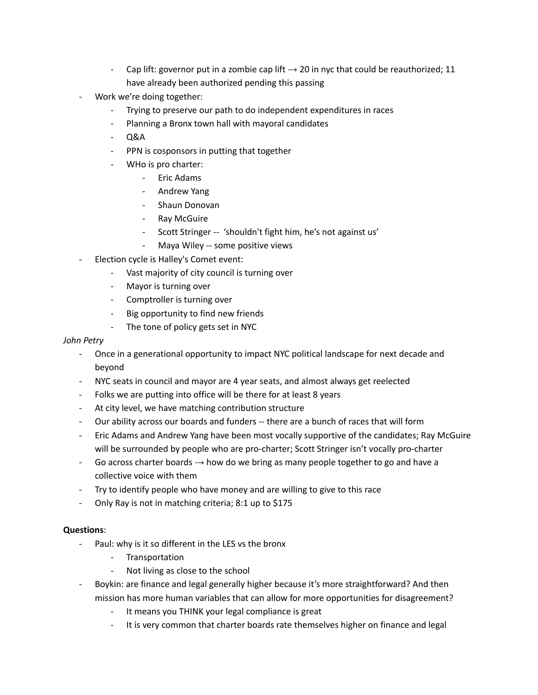- Cap lift: governor put in a zombie cap lift  $\rightarrow$  20 in nyc that could be reauthorized; 11 have already been authorized pending this passing
- Work we're doing together:
	- Trying to preserve our path to do independent expenditures in races
	- Planning a Bronx town hall with mayoral candidates
	- Q&A
	- PPN is cosponsors in putting that together
	- WHo is pro charter:
		- Eric Adams
		- Andrew Yang
		- Shaun Donovan
		- Ray McGuire
		- Scott Stringer -- 'shouldn't fight him, he's not against us'
		- Maya Wiley -- some positive views
- Election cycle is Halley's Comet event:
	- Vast majority of city council is turning over
	- Mayor is turning over
	- Comptroller is turning over
	- Big opportunity to find new friends
	- The tone of policy gets set in NYC

## *John Petry*

- Once in a generational opportunity to impact NYC political landscape for next decade and beyond
- NYC seats in council and mayor are 4 year seats, and almost always get reelected
- Folks we are putting into office will be there for at least 8 years
- At city level, we have matching contribution structure
- Our ability across our boards and funders -- there are a bunch of races that will form
- Eric Adams and Andrew Yang have been most vocally supportive of the candidates; Ray McGuire will be surrounded by people who are pro-charter; Scott Stringer isn't vocally pro-charter
- Go across charter boards  $\rightarrow$  how do we bring as many people together to go and have a collective voice with them
- Try to identify people who have money and are willing to give to this race
- Only Ray is not in matching criteria; 8:1 up to \$175

# **Questions**:

- Paul: why is it so different in the LES vs the bronx
	- Transportation
	- Not living as close to the school
- Boykin: are finance and legal generally higher because it's more straightforward? And then mission has more human variables that can allow for more opportunities for disagreement?
	- It means you THINK your legal compliance is great
	- It is very common that charter boards rate themselves higher on finance and legal